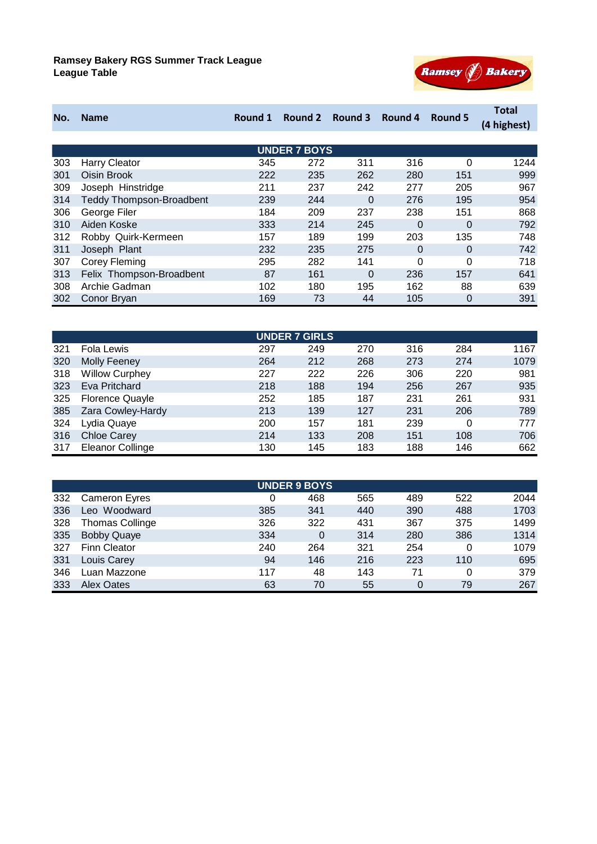

| No. | <b>Name</b>                     | Round 1 | Round 2             | Round 3  | Round 4  | Round 5  | <b>Total</b><br>(4 highest) |
|-----|---------------------------------|---------|---------------------|----------|----------|----------|-----------------------------|
|     |                                 |         |                     |          |          |          |                             |
|     |                                 |         | <b>UNDER 7 BOYS</b> |          |          |          |                             |
| 303 | <b>Harry Cleator</b>            | 345     | 272                 | 311      | 316      | $\Omega$ | 1244                        |
| 301 | Oisin Brook                     | 222     | 235                 | 262      | 280      | 151      | 999                         |
| 309 | Joseph Hinstridge               | 211     | 237                 | 242      | 277      | 205      | 967                         |
| 314 | <b>Teddy Thompson-Broadbent</b> | 239     | 244                 | $\Omega$ | 276      | 195      | 954                         |
| 306 | George Filer                    | 184     | 209                 | 237      | 238      | 151      | 868                         |
| 310 | Aiden Koske                     | 333     | 214                 | 245      | $\Omega$ | $\Omega$ | 792                         |
| 312 | Robby Quirk-Kermeen             | 157     | 189                 | 199      | 203      | 135      | 748                         |
| 311 | Joseph Plant                    | 232     | 235                 | 275      | $\Omega$ | $\Omega$ | 742                         |
| 307 | Corey Fleming                   | 295     | 282                 | 141      | $\Omega$ | $\Omega$ | 718                         |
| 313 | Felix Thompson-Broadbent        | 87      | 161                 | 0        | 236      | 157      | 641                         |
| 308 | Archie Gadman                   | 102     | 180                 | 195      | 162      | 88       | 639                         |
| 302 | Conor Bryan                     | 169     | 73                  | 44       | 105      | $\Omega$ | 391                         |

| <b>UNDER 7 GIRLS</b> |                         |     |     |     |     |     |      |  |  |
|----------------------|-------------------------|-----|-----|-----|-----|-----|------|--|--|
| 321                  | Fola Lewis              | 297 | 249 | 270 | 316 | 284 | 1167 |  |  |
| 320                  | <b>Molly Feeney</b>     | 264 | 212 | 268 | 273 | 274 | 1079 |  |  |
| 318                  | <b>Willow Curphey</b>   | 227 | 222 | 226 | 306 | 220 | 981  |  |  |
| 323                  | Eva Pritchard           | 218 | 188 | 194 | 256 | 267 | 935  |  |  |
| 325                  | <b>Florence Quayle</b>  | 252 | 185 | 187 | 231 | 261 | 931  |  |  |
| 385                  | Zara Cowley-Hardy       | 213 | 139 | 127 | 231 | 206 | 789  |  |  |
| 324                  | Lydia Quaye             | 200 | 157 | 181 | 239 | 0   | 777  |  |  |
| 316                  | <b>Chloe Carey</b>      | 214 | 133 | 208 | 151 | 108 | 706  |  |  |
| 317                  | <b>Eleanor Collinge</b> | 130 | 145 | 183 | 188 | 146 | 662  |  |  |

| <b>UNDER 9 BOYS</b> |                        |     |              |     |     |     |      |  |
|---------------------|------------------------|-----|--------------|-----|-----|-----|------|--|
| 332                 | <b>Cameron Eyres</b>   | 0   | 468          | 565 | 489 | 522 | 2044 |  |
| 336                 | Leo Woodward           | 385 | 341          | 440 | 390 | 488 | 1703 |  |
| 328                 | <b>Thomas Collinge</b> | 326 | 322          | 431 | 367 | 375 | 1499 |  |
| 335                 | <b>Bobby Quaye</b>     | 334 | $\mathbf{0}$ | 314 | 280 | 386 | 1314 |  |
| 327                 | <b>Finn Cleator</b>    | 240 | 264          | 321 | 254 | 0   | 1079 |  |
| 331                 | Louis Carey            | 94  | 146          | 216 | 223 | 110 | 695  |  |
| 346                 | Luan Mazzone           | 117 | 48           | 143 | 71  | 0   | 379  |  |
| 333                 | <b>Alex Oates</b>      | 63  | 70           | 55  | 0   | 79  | 267  |  |